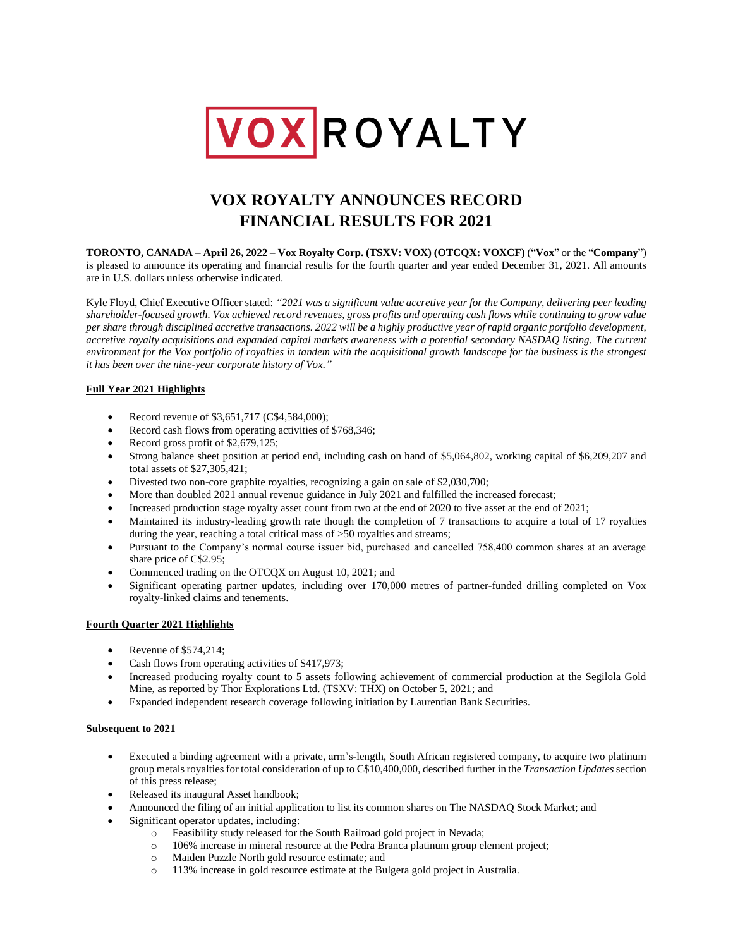

# **VOX ROYALTY ANNOUNCES RECORD FINANCIAL RESULTS FOR 2021**

**TORONTO, CANADA – April 26, 2022 – Vox Royalty Corp. (TSXV: VOX) (OTCQX: VOXCF)** ("**Vox**" or the "**Company**") is pleased to announce its operating and financial results for the fourth quarter and year ended December 31, 2021. All amounts are in U.S. dollars unless otherwise indicated.

Kyle Floyd, Chief Executive Officer stated: *"2021 was a significant value accretive year for the Company, delivering peer leading shareholder-focused growth. Vox achieved record revenues, gross profits and operating cash flows while continuing to grow value per share through disciplined accretive transactions. 2022 will be a highly productive year of rapid organic portfolio development, accretive royalty acquisitions and expanded capital markets awareness with a potential secondary NASDAQ listing. The current environment for the Vox portfolio of royalties in tandem with the acquisitional growth landscape for the business is the strongest it has been over the nine-year corporate history of Vox."*

# **Full Year 2021 Highlights**

- Record revenue of \$3,651,717 (C\$4,584,000);
- Record cash flows from operating activities of \$768,346;
- Record gross profit of \$2,679,125;
- Strong balance sheet position at period end, including cash on hand of \$5,064,802, working capital of \$6,209,207 and total assets of \$27,305,421;
- Divested two non-core graphite royalties, recognizing a gain on sale of \$2,030,700;
- More than doubled 2021 annual revenue guidance in July 2021 and fulfilled the increased forecast;
- Increased production stage royalty asset count from two at the end of 2020 to five asset at the end of 2021;
- Maintained its industry-leading growth rate though the completion of 7 transactions to acquire a total of 17 royalties during the year, reaching a total critical mass of  $>50$  royalties and streams;
- Pursuant to the Company's normal course issuer bid, purchased and cancelled 758,400 common shares at an average share price of C\$2.95;
- Commenced trading on the OTCQX on August 10, 2021; and
- Significant operating partner updates, including over 170,000 metres of partner-funded drilling completed on Vox royalty-linked claims and tenements.

# **Fourth Quarter 2021 Highlights**

- Revenue of \$574,214;
- Cash flows from operating activities of \$417,973;
- Increased producing royalty count to 5 assets following achievement of commercial production at the Segilola Gold Mine, as reported by Thor Explorations Ltd. (TSXV: THX) on October 5, 2021; and
- Expanded independent research coverage following initiation by Laurentian Bank Securities.

#### **Subsequent to 2021**

- Executed a binding agreement with a private, arm's-length, South African registered company, to acquire two platinum group metals royalties for total consideration of up to C\$10,400,000, described further in the *Transaction Updates* section of this press release;
- Released its inaugural Asset handbook;
- Announced the filing of an initial application to list its common shares on The NASDAQ Stock Market; and
- Significant operator updates, including:
	- o Feasibility study released for the South Railroad gold project in Nevada;
	- o 106% increase in mineral resource at the Pedra Branca platinum group element project;
	- Maiden Puzzle North gold resource estimate; and
	- o 113% increase in gold resource estimate at the Bulgera gold project in Australia.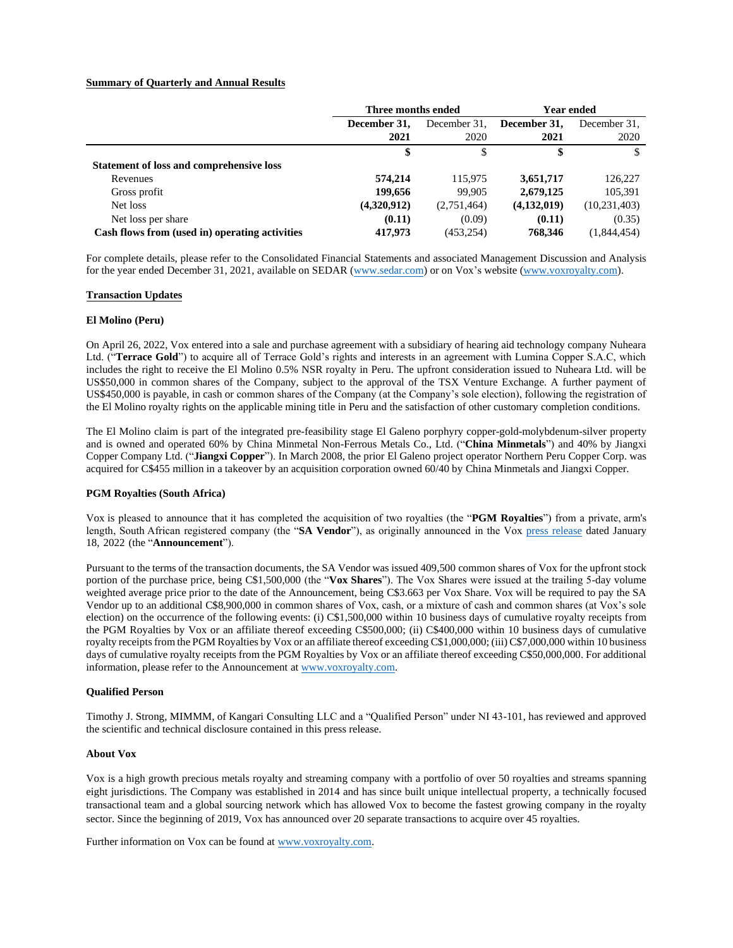#### **Summary of Quarterly and Annual Results**

|                                                 | Three months ended |              | Year ended   |                |
|-------------------------------------------------|--------------------|--------------|--------------|----------------|
|                                                 | December 31.       | December 31. | December 31. | December 31.   |
|                                                 | 2021               | 2020         | 2021         | 2020           |
|                                                 | \$                 |              | \$           | S              |
| <b>Statement of loss and comprehensive loss</b> |                    |              |              |                |
| Revenues                                        | 574,214            | 115,975      | 3,651,717    | 126,227        |
| Gross profit                                    | 199,656            | 99,905       | 2,679,125    | 105,391        |
| Net loss                                        | (4,320,912)        | (2,751,464)  | (4,132,019)  | (10, 231, 403) |
| Net loss per share                              | (0.11)             | (0.09)       | (0.11)       | (0.35)         |
| Cash flows from (used in) operating activities  | 417,973            | (453, 254)   | 768,346      | (1,844,454)    |

For complete details, please refer to the Consolidated Financial Statements and associated Management Discussion and Analysis for the year ended December 31, 2021, available on SEDAR [\(www.sedar.com\)](http://www.sedar.com/) or on Vox's website [\(www.voxroyalty.com\).](http://www.voxroyalty.com/)

## **Transaction Updates**

#### **El Molino (Peru)**

On April 26, 2022, Vox entered into a sale and purchase agreement with a subsidiary of hearing aid technology company Nuheara Ltd. ("**Terrace Gold**") to acquire all of Terrace Gold's rights and interests in an agreement with Lumina Copper S.A.C, which includes the right to receive the El Molino 0.5% NSR royalty in Peru. The upfront consideration issued to Nuheara Ltd. will be US\$50,000 in common shares of the Company, subject to the approval of the TSX Venture Exchange. A further payment of US\$450,000 is payable, in cash or common shares of the Company (at the Company's sole election), following the registration of the El Molino royalty rights on the applicable mining title in Peru and the satisfaction of other customary completion conditions.

The El Molino claim is part of the integrated pre-feasibility stage El Galeno porphyry copper-gold-molybdenum-silver property and is owned and operated 60% by China Minmetal Non-Ferrous Metals Co., Ltd. ("**China Minmetals**") and 40% by Jiangxi Copper Company Ltd. ("**Jiangxi Copper**"). In March 2008, the prior El Galeno project operator Northern Peru Copper Corp. was acquired for C\$455 million in a takeover by an acquisition corporation owned 60/40 by China Minmetals and Jiangxi Copper.

#### **PGM Royalties (South Africa)**

Vox is pleased to announce that it has completed the acquisition of two royalties (the "**PGM Royalties**") from a private, arm's length, South African registered company (the "**SA Vendor**"), as originally announced in the Vox [press release](https://www.voxroyalty.com/_resources/news/nr-20220118.pdf) dated January 18, 2022 (the "**Announcement**").

Pursuant to the terms of the transaction documents, the SA Vendor was issued 409,500 common shares of Vox for the upfront stock portion of the purchase price, being C\$1,500,000 (the "**Vox Shares**"). The Vox Shares were issued at the trailing 5-day volume weighted average price prior to the date of the Announcement, being C\$3.663 per Vox Share. Vox will be required to pay the SA Vendor up to an additional C\$8,900,000 in common shares of Vox, cash, or a mixture of cash and common shares (at Vox's sole election) on the occurrence of the following events: (i) C\$1,500,000 within 10 business days of cumulative royalty receipts from the PGM Royalties by Vox or an affiliate thereof exceeding C\$500,000; (ii) C\$400,000 within 10 business days of cumulative royalty receipts from the PGM Royalties by Vox or an affiliate thereof exceeding C\$1,000,000; (iii) C\$7,000,000 within 10 business days of cumulative royalty receipts from the PGM Royalties by Vox or an affiliate thereof exceeding C\$50,000,000. For additional information, please refer to the Announcement a[t www.voxroyalty.com.](http://www.voxroyalty.com/)

#### **Qualified Person**

Timothy J. Strong, MIMMM, of Kangari Consulting LLC and a "Qualified Person" under NI 43-101, has reviewed and approved the scientific and technical disclosure contained in this press release.

#### **About Vox**

Vox is a high growth precious metals royalty and streaming company with a portfolio of over 50 royalties and streams spanning eight jurisdictions. The Company was established in 2014 and has since built unique intellectual property, a technically focused transactional team and a global sourcing network which has allowed Vox to become the fastest growing company in the royalty sector. Since the beginning of 2019, Vox has announced over 20 separate transactions to acquire over 45 royalties.

Further information on Vox can be found at [www.voxroyalty.com.](http://www.voxroyalty.com/)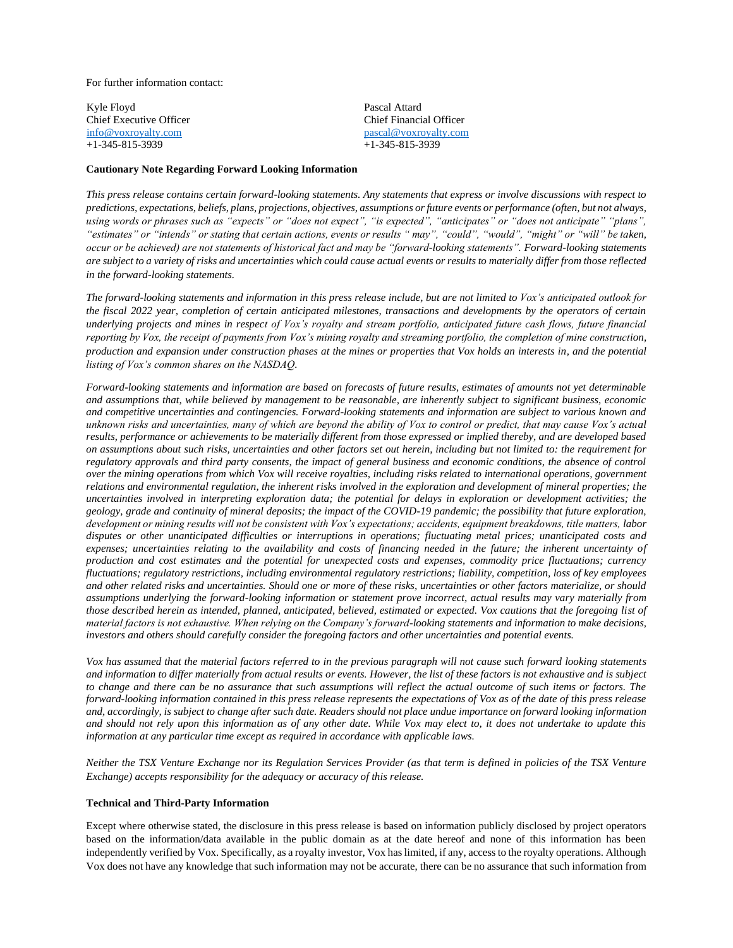For further information contact:

Kyle Floyd **Pascal Attard** Chief Executive Officer Chief Financial Officer [info@voxroyalty.com](mailto:info@voxroyalty.com) +1-345-815-3939

[pascal@voxroyalty.com](mailto:pascal@voxroyalty.com) +1-345-815-3939

#### **Cautionary Note Regarding Forward Looking Information**

*This press release contains certain forward-looking statements. Any statements that express or involve discussions with respect to predictions, expectations, beliefs, plans, projections, objectives, assumptions or future events or performance (often, but not always, using words or phrases such as "expects" or "does not expect", "is expected", "anticipates" or "does not anticipate" "plans", "estimates" or "intends" or stating that certain actions, events or results " may", "could", "would", "might" or "will" be taken, occur or be achieved) are not statements of historical fact and may be "forward-looking statements". Forward-looking statements are subject to a variety of risks and uncertainties which could cause actual events or results to materially differ from those reflected in the forward-looking statements.*

*The forward-looking statements and information in this press release include, but are not limited to Vox's anticipated outlook for the fiscal 2022 year, completion of certain anticipated milestones, transactions and developments by the operators of certain underlying projects and mines in respect of Vox's royalty and stream portfolio, anticipated future cash flows, future financial reporting by Vox, the receipt of payments from Vox's mining royalty and streaming portfolio, the completion of mine construction, production and expansion under construction phases at the mines or properties that Vox holds an interests in, and the potential listing of Vox's common shares on the NASDAQ.*

*Forward-looking statements and information are based on forecasts of future results, estimates of amounts not yet determinable and assumptions that, while believed by management to be reasonable, are inherently subject to significant business, economic and competitive uncertainties and contingencies. Forward-looking statements and information are subject to various known and unknown risks and uncertainties, many of which are beyond the ability of Vox to control or predict, that may cause Vox's actual results, performance or achievements to be materially different from those expressed or implied thereby, and are developed based on assumptions about such risks, uncertainties and other factors set out herein, including but not limited to: the requirement for regulatory approvals and third party consents, the impact of general business and economic conditions, the absence of control over the mining operations from which Vox will receive royalties, including risks related to international operations, government relations and environmental regulation, the inherent risks involved in the exploration and development of mineral properties; the uncertainties involved in interpreting exploration data; the potential for delays in exploration or development activities; the geology, grade and continuity of mineral deposits; the impact of the COVID-19 pandemic; the possibility that future exploration, development or mining results will not be consistent with Vox's expectations; accidents, equipment breakdowns, title matters, labor disputes or other unanticipated difficulties or interruptions in operations; fluctuating metal prices; unanticipated costs and expenses; uncertainties relating to the availability and costs of financing needed in the future; the inherent uncertainty of production and cost estimates and the potential for unexpected costs and expenses, commodity price fluctuations; currency fluctuations; regulatory restrictions, including environmental regulatory restrictions; liability, competition, loss of key employees and other related risks and uncertainties. Should one or more of these risks, uncertainties or other factors materialize, or should assumptions underlying the forward-looking information or statement prove incorrect, actual results may vary materially from those described herein as intended, planned, anticipated, believed, estimated or expected. Vox cautions that the foregoing list of material factors is not exhaustive. When relying on the Company's forward-looking statements and information to make decisions, investors and others should carefully consider the foregoing factors and other uncertainties and potential events.* 

*Vox has assumed that the material factors referred to in the previous paragraph will not cause such forward looking statements and information to differ materially from actual results or events. However, the list of these factors is not exhaustive and is subject to change and there can be no assurance that such assumptions will reflect the actual outcome of such items or factors. The forward-looking information contained in this press release represents the expectations of Vox as of the date of this press release and, accordingly, is subject to change after such date. Readers should not place undue importance on forward looking information and should not rely upon this information as of any other date. While Vox may elect to, it does not undertake to update this information at any particular time except as required in accordance with applicable laws.*

*Neither the TSX Venture Exchange nor its Regulation Services Provider (as that term is defined in policies of the TSX Venture Exchange) accepts responsibility for the adequacy or accuracy of this release.*

## **Technical and Third-Party Information**

Except where otherwise stated, the disclosure in this press release is based on information publicly disclosed by project operators based on the information/data available in the public domain as at the date hereof and none of this information has been independently verified by Vox. Specifically, as a royalty investor, Vox has limited, if any, access to the royalty operations. Although Vox does not have any knowledge that such information may not be accurate, there can be no assurance that such information from